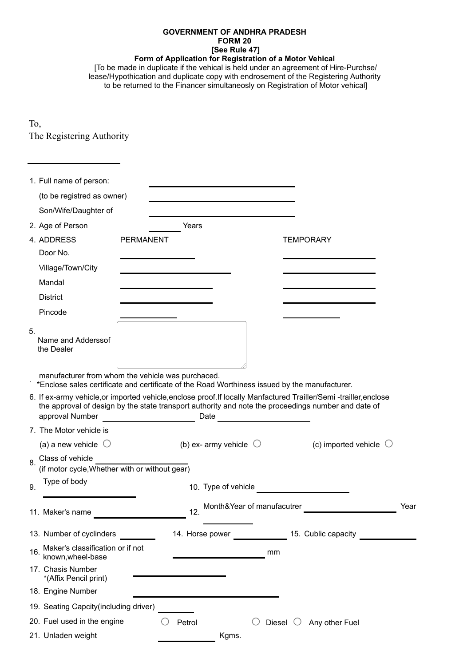## **GOVERNMENT OF ANDHRA PRADESH FORM 20 [See Rule 47]**

**Form of Application for Registration of a Motor Vehical**

[To be made in duplicate if the vehical is held under an agreement of Hire-Purchse/ lease/Hypothication and duplicate copy with endrosement of the Registering Authority to be returned to the Financer simultaneosly on Registration of Motor vehical]

To, The Registering Authority

| 1. Full name of person:                                                                                                                            |                  |                                 |                            |                                                                                                                                                                                                                          |      |
|----------------------------------------------------------------------------------------------------------------------------------------------------|------------------|---------------------------------|----------------------------|--------------------------------------------------------------------------------------------------------------------------------------------------------------------------------------------------------------------------|------|
| (to be registred as owner)                                                                                                                         |                  |                                 |                            |                                                                                                                                                                                                                          |      |
| Son/Wife/Daughter of                                                                                                                               |                  |                                 |                            |                                                                                                                                                                                                                          |      |
| 2. Age of Person                                                                                                                                   |                  | Years                           |                            |                                                                                                                                                                                                                          |      |
| 4. ADDRESS                                                                                                                                         | <b>PERMANENT</b> |                                 |                            | <b>TEMPORARY</b>                                                                                                                                                                                                         |      |
| Door No.                                                                                                                                           |                  |                                 |                            |                                                                                                                                                                                                                          |      |
| Village/Town/City                                                                                                                                  |                  |                                 |                            |                                                                                                                                                                                                                          |      |
| Mandal                                                                                                                                             |                  |                                 |                            |                                                                                                                                                                                                                          |      |
| <b>District</b>                                                                                                                                    |                  |                                 |                            |                                                                                                                                                                                                                          |      |
| Pincode                                                                                                                                            |                  |                                 |                            |                                                                                                                                                                                                                          |      |
| 5.<br>Name and Adderssof<br>the Dealer                                                                                                             |                  |                                 |                            |                                                                                                                                                                                                                          |      |
| manufacturer from whom the vehicle was purchaced.<br>*Enclose sales certificate and certificate of the Road Worthiness issued by the manufacturer. |                  |                                 |                            |                                                                                                                                                                                                                          |      |
| approval Number                                                                                                                                    |                  | Date                            |                            | 6. If ex-army vehicle, or imported vehicle, enclose proof. If locally Manfactured Trailler/Semi-trailler, enclose<br>the approval of design by the state transport authority and note the proceedings number and date of |      |
| 7. The Motor vehicle is                                                                                                                            |                  |                                 |                            |                                                                                                                                                                                                                          |      |
| (a) a new vehicle $\bigcirc$                                                                                                                       |                  | (b) ex- army vehicle $\bigcirc$ |                            | (c) imported vehicle $\heartsuit$                                                                                                                                                                                        |      |
| Class of vehicle<br>8.<br>(if motor cycle, Whether with or without gear)                                                                           |                  |                                 |                            |                                                                                                                                                                                                                          |      |
| Type of body<br>9.                                                                                                                                 |                  | 10. Type of vehicle             |                            |                                                                                                                                                                                                                          |      |
| 11. Maker's name                                                                                                                                   |                  | 12                              | Month&Year of manufacutrer |                                                                                                                                                                                                                          | Year |
| 13. Number of cyclinders                                                                                                                           |                  | 14. Horse power                 |                            | 15. Cublic capacity                                                                                                                                                                                                      |      |
| Maker's classification or if not<br>16<br>known, wheel-base                                                                                        |                  |                                 | mm                         |                                                                                                                                                                                                                          |      |
| 17. Chasis Number<br>*(Affix Pencil print)                                                                                                         |                  |                                 |                            |                                                                                                                                                                                                                          |      |
| 18. Engine Number                                                                                                                                  |                  |                                 |                            |                                                                                                                                                                                                                          |      |
| 19. Seating Capcity (including driver)                                                                                                             |                  |                                 |                            |                                                                                                                                                                                                                          |      |
| 20. Fuel used in the engine                                                                                                                        |                  | Petrol                          | Diesel                     | Any other Fuel                                                                                                                                                                                                           |      |
| 21. Unladen weight                                                                                                                                 |                  | Kgms.                           |                            |                                                                                                                                                                                                                          |      |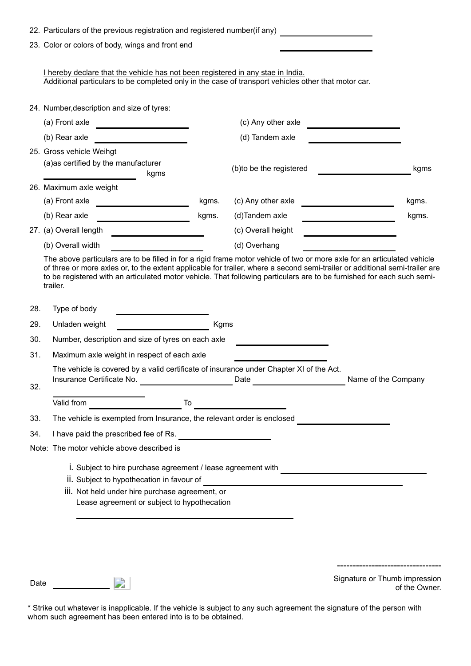|     | 22. Particulars of the previous registration and registered number(if any)                                                                                                                                                                                                                                                                                                                    |       |                                                                                   |                                                                                                                      |  |  |  |
|-----|-----------------------------------------------------------------------------------------------------------------------------------------------------------------------------------------------------------------------------------------------------------------------------------------------------------------------------------------------------------------------------------------------|-------|-----------------------------------------------------------------------------------|----------------------------------------------------------------------------------------------------------------------|--|--|--|
|     | 23. Color or colors of body, wings and front end                                                                                                                                                                                                                                                                                                                                              |       |                                                                                   |                                                                                                                      |  |  |  |
|     | I hereby declare that the vehicle has not been registered in any stae in India.<br>Additional particulars to be completed only in the case of transport vehicles other that motor car.                                                                                                                                                                                                        |       |                                                                                   |                                                                                                                      |  |  |  |
|     | 24. Number, description and size of tyres:                                                                                                                                                                                                                                                                                                                                                    |       |                                                                                   |                                                                                                                      |  |  |  |
|     | (a) Front axle<br><u> 1989 - Johann Barbara, martx</u>                                                                                                                                                                                                                                                                                                                                        |       | (c) Any other axle                                                                |                                                                                                                      |  |  |  |
|     | (b) Rear axle                                                                                                                                                                                                                                                                                                                                                                                 |       | (d) Tandem axle                                                                   | <u> 1980 - Johann Barbara, martxa a</u>                                                                              |  |  |  |
|     | 25. Gross vehicle Weihgt                                                                                                                                                                                                                                                                                                                                                                      |       |                                                                                   |                                                                                                                      |  |  |  |
|     | (a)as certified by the manufacturer<br>kgms                                                                                                                                                                                                                                                                                                                                                   |       | (b) to be the registered                                                          | kgms                                                                                                                 |  |  |  |
|     | 26. Maximum axle weight                                                                                                                                                                                                                                                                                                                                                                       |       |                                                                                   |                                                                                                                      |  |  |  |
|     | (a) Front axle                                                                                                                                                                                                                                                                                                                                                                                | kgms. | (c) Any other axle                                                                | kgms.                                                                                                                |  |  |  |
|     | (b) Rear axle                                                                                                                                                                                                                                                                                                                                                                                 | kgms. | (d)Tandem axle                                                                    | kgms.                                                                                                                |  |  |  |
|     | 27. (a) Overall length                                                                                                                                                                                                                                                                                                                                                                        |       | (c) Overall height                                                                |                                                                                                                      |  |  |  |
|     | (b) Overall width                                                                                                                                                                                                                                                                                                                                                                             |       | (d) Overhang                                                                      |                                                                                                                      |  |  |  |
|     | The above particulars are to be filled in for a rigid frame motor vehicle of two or more axle for an articulated vehicle<br>of three or more axles or, to the extent applicable for trailer, where a second semi-trailer or additional semi-trailer are<br>to be registered with an articulated motor vehicle. That following particulars are to be furnished for each such semi-<br>trailer. |       |                                                                                   |                                                                                                                      |  |  |  |
| 28. | Type of body                                                                                                                                                                                                                                                                                                                                                                                  |       |                                                                                   |                                                                                                                      |  |  |  |
| 29. | Unladen weight                                                                                                                                                                                                                                                                                                                                                                                | Kgms  |                                                                                   |                                                                                                                      |  |  |  |
| 30. | Number, description and size of tyres on each axle                                                                                                                                                                                                                                                                                                                                            |       |                                                                                   |                                                                                                                      |  |  |  |
| 31. | Maximum axle weight in respect of each axle                                                                                                                                                                                                                                                                                                                                                   |       |                                                                                   |                                                                                                                      |  |  |  |
| 32. | The vehicle is covered by a valid certificate of insurance under Chapter XI of the Act.<br>Insurance Certificate No.                                                                                                                                                                                                                                                                          |       | Date                                                                              | Name of the Company                                                                                                  |  |  |  |
|     | Valid from                                                                                                                                                                                                                                                                                                                                                                                    | To    |                                                                                   |                                                                                                                      |  |  |  |
| 33. | The vehicle is exempted from Insurance, the relevant order is enclosed                                                                                                                                                                                                                                                                                                                        |       |                                                                                   |                                                                                                                      |  |  |  |
| 34. | I have paid the prescribed fee of Rs.                                                                                                                                                                                                                                                                                                                                                         |       |                                                                                   |                                                                                                                      |  |  |  |
|     | Note: The motor vehicle above described is                                                                                                                                                                                                                                                                                                                                                    |       |                                                                                   |                                                                                                                      |  |  |  |
|     | i. Subject to hire purchase agreement / lease agreement with<br>ii. Subject to hypothecation in favour of<br>iii. Not held under hire purchase agreement, or                                                                                                                                                                                                                                  |       | <u> 1989 - Johann Barn, amerikan bernama pendadaran pendadaran pendadaran per</u> | <u> 1980 - Johann Barn, mars eta bainar eta bainar eta baina eta baina eta baina eta baina eta baina eta baina e</u> |  |  |  |
|     | Lease agreement or subject to hypothecation                                                                                                                                                                                                                                                                                                                                                   |       |                                                                                   |                                                                                                                      |  |  |  |

Date **Signature or Thumb impression**<br>
Only and the Owner of the Owner of the Owner.

\* Strike out whatever is inapplicable. If the vehicle is subject to any such agreement the signature of the person with whom such agreement has been entered into is to be obtained.